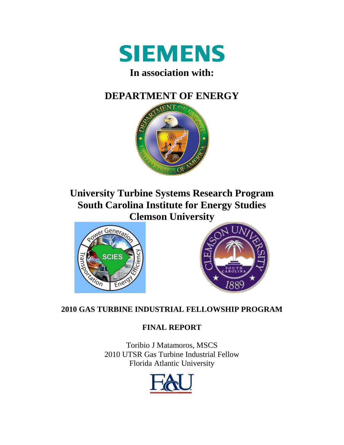

## **In association with:**

# **DEPARTMENT OF ENERGY**



**University Turbine Systems Research Program South Carolina Institute for Energy Studies Clemson University**





### **2010 GAS TURBINE INDUSTRIAL FELLOWSHIP PROGRAM**

## **FINAL REPORT**

Toribio J Matamoros, MSCS 2010 UTSR Gas Turbine Industrial Fellow Florida Atlantic University

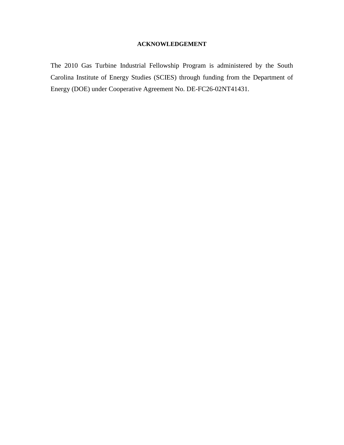#### **ACKNOWLEDGEMENT**

The 2010 Gas Turbine Industrial Fellowship Program is administered by the South Carolina Institute of Energy Studies (SCIES) through funding from the Department of Energy (DOE) under Cooperative Agreement No. DE-FC26-02NT41431.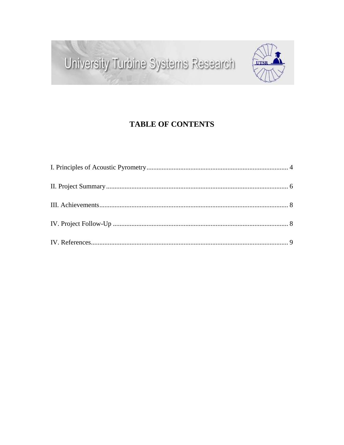

## **TABLE OF CONTENTS**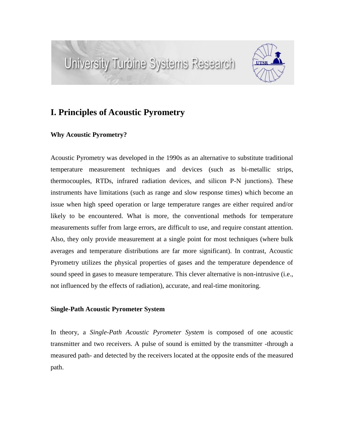

## <span id="page-3-0"></span>**I. Principles of Acoustic Pyrometry**

#### **Why Acoustic Pyrometry?**

Acoustic Pyrometry was developed in the 1990s as an alternative to substitute traditional temperature measurement techniques and devices (such as bi-metallic strips, thermocouples, RTDs, infrared radiation devices, and silicon P-N junctions). These instruments have limitations (such as range and slow response times) which become an issue when high speed operation or large temperature ranges are either required and/or likely to be encountered. What is more, the conventional methods for temperature measurements suffer from large errors, are difficult to use, and require constant attention. Also, they only provide measurement at a single point for most techniques (where bulk averages and temperature distributions are far more significant). In contrast, Acoustic Pyrometry utilizes the physical properties of gases and the temperature dependence of sound speed in gases to measure temperature. This clever alternative is non-intrusive (i.e., not influenced by the effects of radiation), accurate, and real-time monitoring.

#### **Single-Path Acoustic Pyrometer System**

In theory, a *Single-Path Acoustic Pyrometer System* is composed of one acoustic transmitter and two receivers. A pulse of sound is emitted by the transmitter -through a measured path- and detected by the receivers located at the opposite ends of the measured path.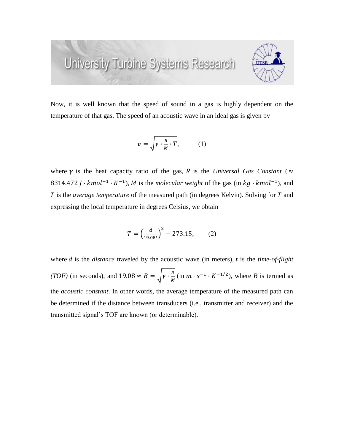

Now, it is well known that the speed of sound in a gas is highly dependent on the temperature of that gas. The speed of an acoustic wave in an ideal gas is given by

$$
v = \sqrt{\gamma \cdot \frac{R}{M} \cdot T}, \quad (1)
$$

where  $\gamma$  is the heat capacity ratio of the gas, R is the *Universal Gas Constant* ( $\approx$ 8314.472 *J*  $\cdot$  *kmol*<sup> $-1$ </sup>  $\cdot$  *K*<sup> $-1$ </sup>), *M* is the *molecular weight* of the gas (in *kg*  $\cdot$  *kmol*<sup> $-1$ </sup>), and T is the *average temperature* of the measured path (in degrees Kelvin). Solving for T and expressing the local temperature in degrees Celsius, we obtain

$$
T = \left(\frac{d}{19.08t}\right)^2 - 273.15, \qquad (2)
$$

where  $d$  is the *distance* traveled by the acoustic wave (in meters),  $t$  is the *time-of-flight (TOF)* (in seconds), and  $19.08 \approx B = \int \gamma \cdot \frac{R}{M}$  $\frac{R}{M}$  (in  $m \cdot s^{-1} \cdot K^{-1/2}$ ), where *B* is termed as the *acoustic constant*. In other words, the average temperature of the measured path can be determined if the distance between transducers (i.e., transmitter and receiver) and the transmitted signal's TOF are known (or determinable).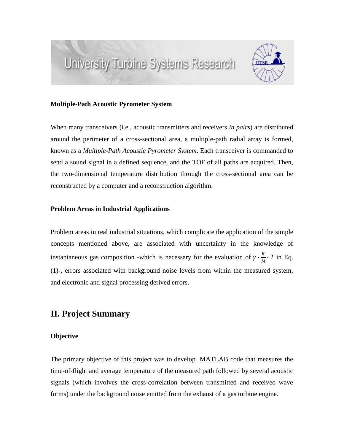

#### **Multiple-Path Acoustic Pyrometer System**

When many transceivers (i.e., acoustic transmitters and receivers *in pairs*) are distributed around the perimeter of a cross-sectional area, a multiple-path radial array is formed, known as a *Multiple-Path Acoustic Pyrometer System*. Each transceiver is commanded to send a sound signal in a defined sequence, and the TOF of all paths are acquired. Then, the two-dimensional temperature distribution through the cross-sectional area can be reconstructed by a computer and a reconstruction algorithm.

#### **Problem Areas in Industrial Applications**

Problem areas in real industrial situations, which complicate the application of the simple concepts mentioned above, are associated with uncertainty in the knowledge of instantaneous gas composition -which is necessary for the evaluation of  $\gamma \cdot \frac{R}{m}$  $\frac{\pi}{M} \cdot T$  in Eq. (1)-, errors associated with background noise levels from within the measured system, and electronic and signal processing derived errors.

### <span id="page-5-0"></span>**II. Project Summary**

#### **Objective**

The primary objective of this project was to develop MATLAB code that measures the time-of-flight and average temperature of the measured path followed by several acoustic signals (which involves the cross-correlation between transmitted and received wave forms) under the background noise emitted from the exhaust of a gas turbine engine.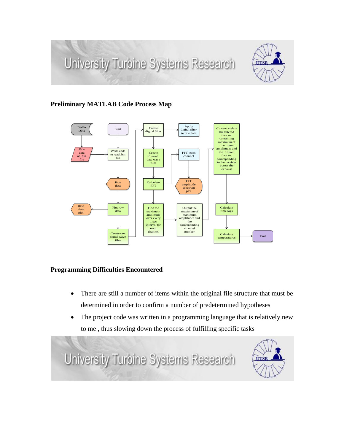



#### **Preliminary MATLAB Code Process Map**



#### **Programming Difficulties Encountered**

- There are still a number of items within the original file structure that must be determined in order to confirm a number of predetermined hypotheses
- The project code was written in a programming language that is relatively new to me , thus slowing down the process of fulfilling specific tasks

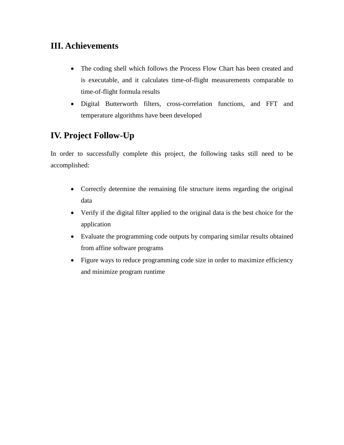## <span id="page-7-0"></span>**III. Achievements**

- The coding shell which follows the Process Flow Chart has been created and is executable, and it calculates time-of-flight measurements comparable to time-of-flight formula results
- Digital Butterworth filters, cross-correlation functions, and FFT and temperature algorithms have been developed

## <span id="page-7-1"></span>**IV. Project Follow-Up**

In order to successfully complete this project, the following tasks still need to be accomplished:

- Correctly determine the remaining file structure items regarding the original data
- Verify if the digital filter applied to the original data is the best choice for the application
- Evaluate the programming code outputs by comparing similar results obtained from affine software programs
- Figure ways to reduce programming code size in order to maximize efficiency and minimize program runtime